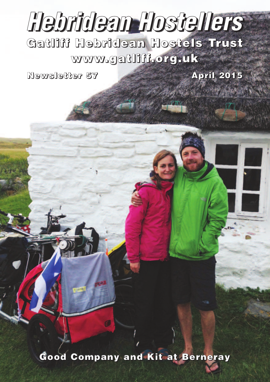# *Hebridean Hostellers*

**Gatliff Hebridean Hostels Trust www.gatliff.org.uk**

**Newsletter 57 April 2015**

**AND THE WAY** 

**Good Company and Kit at Berneray**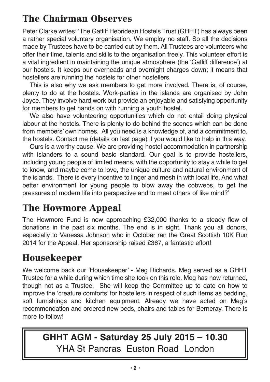# **The Chairman Observes**

Peter Clarke writes: 'The Gatliff Hebridean Hostels Trust (GHHT) has always been a rather special voluntary organisation. We employ no staff. So all the decisions made by Trustees have to be carried out by them. All Trustees are volunteers who offer their time, talents and skills to the organisation freely. This volunteer effort is a vital ingredient in maintaining the unique atmosphere (the 'Gatliff difference') at our hostels. It keeps our overheads and overnight charges down; it means that hostellers are running the hostels for other hostellers.

This is also why we ask members to get more involved. There is, of course, plenty to do at the hostels. Work-parties in the islands are organised by John Joyce. They involve hard work but provide an enjoyable and satisfying opportunity for members to get hands on with running a youth hostel.

We also have volunteering opportunities which do not entail doing physical labour at the hostels. There is plenty to do behind the scenes which can be done from members' own homes. All you need is a knowledge of, and a commitment to, the hostels. Contact me (details on last page) if you would like to help in this way.

Ours is a worthy cause. We are providing hostel accommodation in partnership with islanders to a sound basic standard. Our goal is to provide hostellers, including young people of limited means, with the opportunity to stay a while to get to know, and maybe come to love, the unique culture and natural environment of the islands. There is every incentive to linger and mesh in with local life. And what better environment for young people to blow away the cobwebs, to get the pressures of modern life into perspective and to meet others of like mind?'

## **The Howmore Appeal**

The Howmore Fund is now approaching £32,000 thanks to a steady flow of donations in the past six months. The end is in sight. Thank you all donors, especially to Vanessa Johnson who in October ran the Great Scottish 10K Run 2014 for the Appeal. Her sponsorship raised £367, a fantastic effort!

#### **Housekeeper**

We welcome back our 'Housekeeper' - Meg Richards. Meg served as a GHHT Trustee for a while during which time she took on this role. Meg has now returned, though not as a Trustee. She will keep the Committee up to date on how to improve the 'creature comforts' for hostellers in respect of such items as bedding, soft furnishings and kitchen equipment. Already we have acted on Meg's recommendation and ordered new beds, chairs and tables for Berneray. There is more to follow!

# **GHHT AGM - Saturday 25 July 2015 – 10.30** YHA St Pancras Euston Road London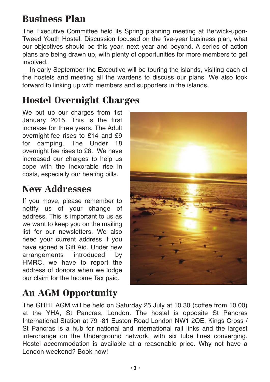# **Business Plan**

The Executive Committee held its Spring planning meeting at Berwick-upon-Tweed Youth Hostel. Discussion focused on the five-year business plan, what our objectives should be this year, next year and beyond. A series of action plans are being drawn up, with plenty of opportunities for more members to get involved.

In early September the Executive will be touring the islands, visiting each of the hostels and meeting all the wardens to discuss our plans. We also look forward to linking up with members and supporters in the islands.

# **Hostel Overnight Charges**

We put up our charges from 1st January 2015. This is the first increase for three years. The Adult overnight-fee rises to £14 and £9 for camping. The Under 18 overnight fee rises to £8. We have increased our charges to help us cope with the inexorable rise in costs, especially our heating bills.

## **New Addresses**

If you move, please remember to notify us of your change of address. This is important to us as we want to keep you on the mailing list for our newsletters. We also need your current address if you have signed a Gift Aid. Under new arrangements introduced by HMRC, we have to report the address of donors when we lodge our claim for the Income Tax paid.



# **An AGM Opportunity**

The GHHT AGM will be held on Saturday 25 July at 10.30 (coffee from 10.00) at the YHA, St Pancras, London. The hostel is opposite St Pancras International Station at 79 -81 Euston Road London NW1 2QE. Kings Cross / St Pancras is a hub for national and international rail links and the largest interchange on the Underground network, with six tube lines converging. Hostel accommodation is available at a reasonable price. Why not have a London weekend? Book now!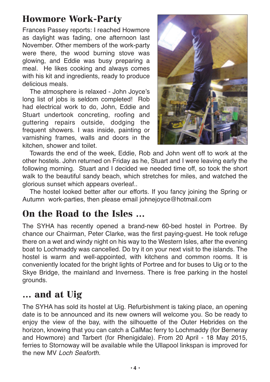## **Howmore Work-Party**

Frances Passey reports: I reached Howmore as daylight was fading, one afternoon last November. Other members of the work-party were there, the wood burning stove was glowing, and Eddie was busy preparing a meal. He likes cooking and always comes with his kit and ingredients, ready to produce delicious meals.

The atmosphere is relaxed - John Joyce's long list of jobs is seldom completed! Rob had electrical work to do, John, Eddie and Stuart undertook concreting, roofing and guttering repairs outside, dodging the frequent showers. I was inside, painting or varnishing frames, walls and doors in the kitchen, shower and toilet.



Towards the end of the week, Eddie, Rob and John went off to work at the other hostels. John returned on Friday as he, Stuart and I were leaving early the following morning. Stuart and I decided we needed time off, so took the short walk to the beautiful sandy beach, which stretches for miles, and watched the glorious sunset which appears overleaf..

The hostel looked better after our efforts. If you fancy joining the Spring or Autumn work-parties, then please email johnejoyce@hotmail.com

## **On the Road to the Isles …**

The SYHA has recently opened a brand-new 60-bed hostel in Portree. By chance our Chairman, Peter Clarke, was the first paying-guest. He took refuge there on a wet and windy night on his way to the Western Isles, after the evening boat to Lochmaddy was cancelled. Do try it on your next visit to the islands. The hostel is warm and well-appointed, with kitchens and common rooms. It is conveniently located for the bright lights of Portree and for buses to Uig or to the Skye Bridge, the mainland and Inverness. There is free parking in the hostel grounds.

#### **… and at Uig**

The SYHA has sold its hostel at Uig. Refurbishment is taking place, an opening date is to be announced and its new owners will welcome you. So be ready to enjoy the view of the bay, with the silhouette of the Outer Hebrides on the horizon, knowing that you can catch a CalMac ferry to Lochmaddy (for Berneray and Howmore) and Tarbert (for Rhenigidale). From 20 April - 18 May 2015, ferries to Stornoway will be available while the Ullapool linkspan is improved for the new MV *Loch Seaforth.*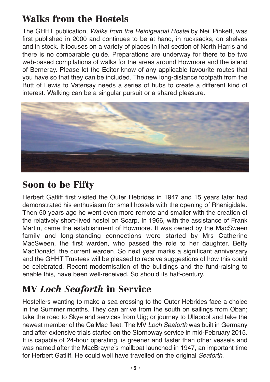# **Walks from the Hostels**

The GHHT publication, *Walks from the Reinigeadal Hostel* by Neil Pinkett, was first published in 2000 and continues to be at hand, in rucksacks, on shelves and in stock. It focuses on a variety of places in that section of North Harris and there is no comparable guide. Preparations are underway for there to be two web-based compilations of walks for the areas around Howmore and the island of Berneray. Please let the Editor know of any applicable favourite routes that you have so that they can be included. The new long-distance footpath from the Butt of Lewis to Vatersay needs a series of hubs to create a different kind of interest. Walking can be a singular pursuit or a shared pleasure.



## **Soon to be Fifty**

Herbert Gatliff first visited the Outer Hebrides in 1947 and 15 years later had demonstrated his enthusiasm for small hostels with the opening of Rhenigidale. Then 50 years ago he went even more remote and smaller with the creation of the relatively short-lived hostel on Scarp. In 1966, with the assistance of Frank Martin, came the establishment of Howmore. It was owned by the MacSween family and long-standing connections were started by Mrs Catherine MacSween, the first warden, who passed the role to her daughter, Betty MacDonald, the current warden. So next year marks a significant anniversary and the GHHT Trustees will be pleased to receive suggestions of how this could be celebrated. Recent modernisation of the buildings and the fund-raising to enable this, have been well-received. So should its half-century.

## **MV** *Loch Seaforth* **in Service**

Hostellers wanting to make a sea-crossing to the Outer Hebrides face a choice in the Summer months. They can arrive from the south on sailings from Oban; take the road to Skye and services from Uig; or journey to Ullapool and take the newest member of the CalMac fleet. The MV *Loch Seaforth* was built in Germany and after extensive trials started on the Stornoway service in mid-February 2015. It is capable of 24-hour operating, is greener and faster than other vessels and was named after the MacBrayne's mailboat launched in 1947, an important time for Herbert Gatliff. He could well have travelled on the original *Seaforth*.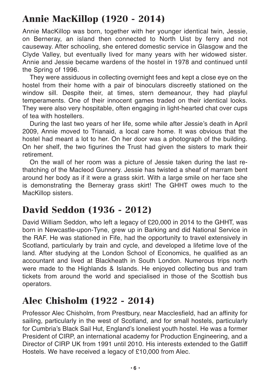# **Annie MacKillop (1920 - 2014)**

Annie MacKillop was born, together with her younger identical twin, Jessie, on Berneray, an island then connected to North Uist by ferry and not causeway. After schooling, she entered domestic service in Glasgow and the Clyde Valley, but eventually lived for many years with her widowed sister. Annie and Jessie became wardens of the hostel in 1978 and continued until the Spring of 1996.

They were assiduous in collecting overnight fees and kept a close eye on the hostel from their home with a pair of binoculars discreetly stationed on the window sill. Despite their, at times, stern demeanour, they had playful temperaments. One of their innocent games traded on their identical looks. They were also very hospitable, often engaging in light-hearted chat over cups of tea with hostellers.

During the last two years of her life, some while after Jessie's death in April 2009, Annie moved to Trianaid, a local care home. It was obvious that the hostel had meant a lot to her. On her door was a photograph of the building. On her shelf, the two figurines the Trust had given the sisters to mark their retirement.

On the wall of her room was a picture of Jessie taken during the last rethatching of the Macleod Gunnery. Jessie has twisted a sheaf of marram bent around her body as if it were a grass skirt. With a large smile on her face she is demonstrating the Berneray grass skirt! The GHHT owes much to the MacKillop sisters.

## **David Seddon (1936 - 2012)**

David William Seddon, who left a legacy of £20,000 in 2014 to the GHHT, was born in Newcastle-upon-Tyne, grew up in Barking and did National Service in the RAF. He was stationed in Fife, had the opportunity to travel extensively in Scotland, particularly by train and cycle, and developed a lifetime love of the land. After studying at the London School of Economics, he qualified as an accountant and lived at Blackheath in South London. Numerous trips north were made to the Highlands & Islands. He enjoyed collecting bus and tram tickets from around the world and specialised in those of the Scottish bus operators.

# **Alec Chisholm (1922 - 2014)**

Professor Alec Chisholm, from Prestbury, near Macclesfield, had an affinity for sailing, particularly in the west of Scotland, and for small hostels, particularly for Cumbria's Black Sail Hut, England's loneliest youth hostel. He was a former President of CIRP, an international academy for Production Engineering, and a Director of CIRP UK from 1991 until 2010. His interests extended to the Gatliff Hostels. We have received a legacy of £10,000 from Alec.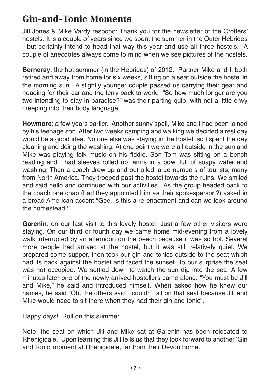## **Gin-and-Tonic Moments**

Jill Jones & Mike Vardy respond: Thank you for the newsletter of the Crofters' hostels. It is a couple of years since we spent the summer in the Outer Hebrides - but certainly intend to head that way this year and use all three hostels. A couple of anecdotes always come to mind when we see pictures of the hostels.

**Berneray**: the hot summer (in the Hebrides) of 2012. Partner Mike and I, both retired and away from home for six weeks, sitting on a seat outside the hostel in the morning sun. A slightly younger couple passed us carrying their gear and heading for their car and the ferry back to work. "So how much longer are you two intending to stay in paradise?" was their parting quip, with not a little envy creeping into their body language.

**Howmore**: a few years earlier. Another sunny spell, Mike and I had been joined by his teenage son. After two weeks camping and walking we decided a rest day would be a good idea. No one else was staying in the hostel, so I spent the day cleaning and doing the washing. At one point we were all outside in the sun and Mike was playing folk music on his fiddle. Son Tom was sitting on a bench reading and I had sleeves rolled up, arms in a bowl full of soapy water and washing. Then a coach drew up and out piled large numbers of tourists, many from North America. They trooped past the hostel towards the ruins. We smiled and said hello and continued with our activities. As the group headed back to the coach one chap (had they appointed him as their spokesperson?) asked in a broad American accent "Gee, is this a re-enactment and can we look around the homestead?"

**Garenin**: on our last visit to this lovely hostel. Just a few other visitors were staying. On our third or fourth day we came home mid-evening from a lovely walk interrupted by an afternoon on the beach because it was so hot. Several more people had arrived at the hostel, but it was still relatively quiet. We prepared some supper, then took our gin and tonics outside to the seat which had its back against the hostel and faced the sunset. To our surprise the seat was not occupied. We settled down to watch the sun dip into the sea. A few minutes later one of the newly-arrived hostellers came along. "You must be Jill and Mike," he said and introduced himself. When asked how he knew our names, he said "Oh, the others said I couldn't sit on that seat because Jill and Mike would need to sit there when they had their gin and tonic".

Happy days! Roll on this summer

Note: the seat on which Jill and Mike sat at Garenin has been relocated to Rhenigidale. Upon learning this Jill tells us that they look forward to another 'Gin and Tonic' moment at Rhenigidale, far from their Devon home.